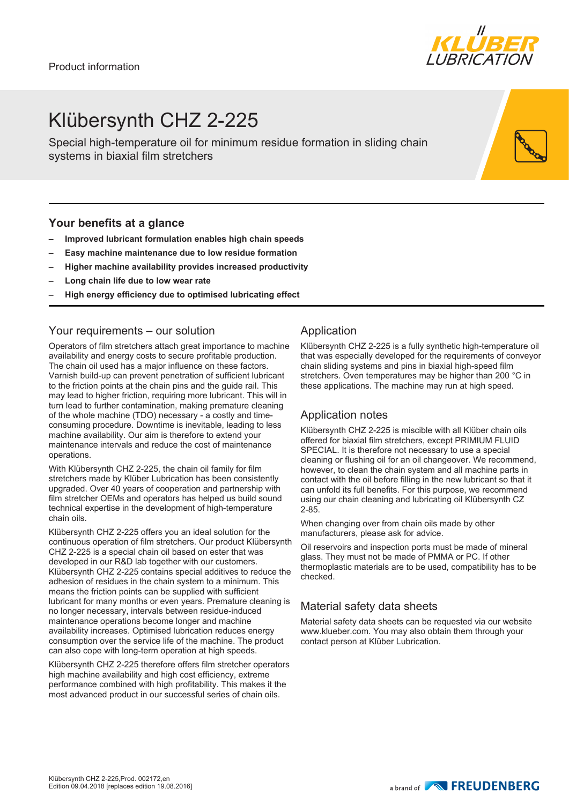

## Klübersynth CHZ 2-225

Special high-temperature oil for minimum residue formation in sliding chain systems in biaxial film stretchers

#### **Your benefits at a glance**

- **– Improved lubricant formulation enables high chain speeds**
- **– Easy machine maintenance due to low residue formation**
- **– Higher machine availability provides increased productivity**
- **– Long chain life due to low wear rate**
- **– High energy efficiency due to optimised lubricating effect**

#### Your requirements – our solution

Operators of film stretchers attach great importance to machine availability and energy costs to secure profitable production. The chain oil used has a major influence on these factors. Varnish build-up can prevent penetration of sufficient lubricant to the friction points at the chain pins and the guide rail. This may lead to higher friction, requiring more lubricant. This will in turn lead to further contamination, making premature cleaning of the whole machine (TDO) necessary - a costly and timeconsuming procedure. Downtime is inevitable, leading to less machine availability. Our aim is therefore to extend your maintenance intervals and reduce the cost of maintenance operations.

With Klübersynth CHZ 2-225, the chain oil family for film stretchers made by Klüber Lubrication has been consistently upgraded. Over 40 years of cooperation and partnership with film stretcher OEMs and operators has helped us build sound technical expertise in the development of high-temperature chain oils.

Klübersynth CHZ 2-225 offers you an ideal solution for the continuous operation of film stretchers. Our product Klübersynth CHZ 2-225 is a special chain oil based on ester that was developed in our R&D lab together with our customers. Klübersynth CHZ 2-225 contains special additives to reduce the adhesion of residues in the chain system to a minimum. This means the friction points can be supplied with sufficient lubricant for many months or even years. Premature cleaning is no longer necessary, intervals between residue-induced maintenance operations become longer and machine availability increases. Optimised lubrication reduces energy consumption over the service life of the machine. The product can also cope with long-term operation at high speeds.

Klübersynth CHZ 2-225 therefore offers film stretcher operators high machine availability and high cost efficiency, extreme performance combined with high profitability. This makes it the most advanced product in our successful series of chain oils.

### Application

Klübersynth CHZ 2-225 is a fully synthetic high-temperature oil that was especially developed for the requirements of conveyor chain sliding systems and pins in biaxial high-speed film stretchers. Oven temperatures may be higher than 200 °C in these applications. The machine may run at high speed.

#### Application notes

Klübersynth CHZ 2-225 is miscible with all Klüber chain oils offered for biaxial film stretchers, except PRIMIUM FLUID SPECIAL. It is therefore not necessary to use a special cleaning or flushing oil for an oil changeover. We recommend, however, to clean the chain system and all machine parts in contact with the oil before filling in the new lubricant so that it can unfold its full benefits. For this purpose, we recommend using our chain cleaning and lubricating oil Klübersynth CZ 2-85.

When changing over from chain oils made by other manufacturers, please ask for advice.

Oil reservoirs and inspection ports must be made of mineral glass. They must not be made of PMMA or PC. If other thermoplastic materials are to be used, compatibility has to be checked.

### Material safety data sheets

Material safety data sheets can be requested via our website www.klueber.com. You may also obtain them through your contact person at Klüber Lubrication.